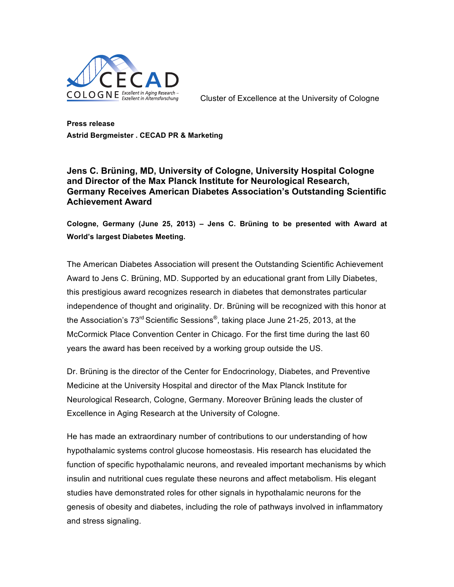

**Press release Astrid Bergmeister . CECAD PR & Marketing**

**Jens C. Brüning, MD, University of Cologne, University Hospital Cologne and Director of the Max Planck Institute for Neurological Research, Germany Receives American Diabetes Association's Outstanding Scientific Achievement Award**

**Cologne, Germany (June 25, 2013) – Jens C. Brüning to be presented with Award at World's largest Diabetes Meeting.** 

The American Diabetes Association will present the Outstanding Scientific Achievement Award to Jens C. Brüning, MD. Supported by an educational grant from Lilly Diabetes, this prestigious award recognizes research in diabetes that demonstrates particular independence of thought and originality. Dr. Brüning will be recognized with this honor at the Association's  $73^{\text{rd}}$  Scientific Sessions<sup>®</sup>, taking place June 21-25, 2013, at the McCormick Place Convention Center in Chicago. For the first time during the last 60 years the award has been received by a working group outside the US.

Dr. Brüning is the director of the Center for Endocrinology, Diabetes, and Preventive Medicine at the University Hospital and director of the Max Planck Institute for Neurological Research, Cologne, Germany. Moreover Brüning leads the cluster of Excellence in Aging Research at the University of Cologne.

He has made an extraordinary number of contributions to our understanding of how hypothalamic systems control glucose homeostasis. His research has elucidated the function of specific hypothalamic neurons, and revealed important mechanisms by which insulin and nutritional cues regulate these neurons and affect metabolism. His elegant studies have demonstrated roles for other signals in hypothalamic neurons for the genesis of obesity and diabetes, including the role of pathways involved in inflammatory and stress signaling.